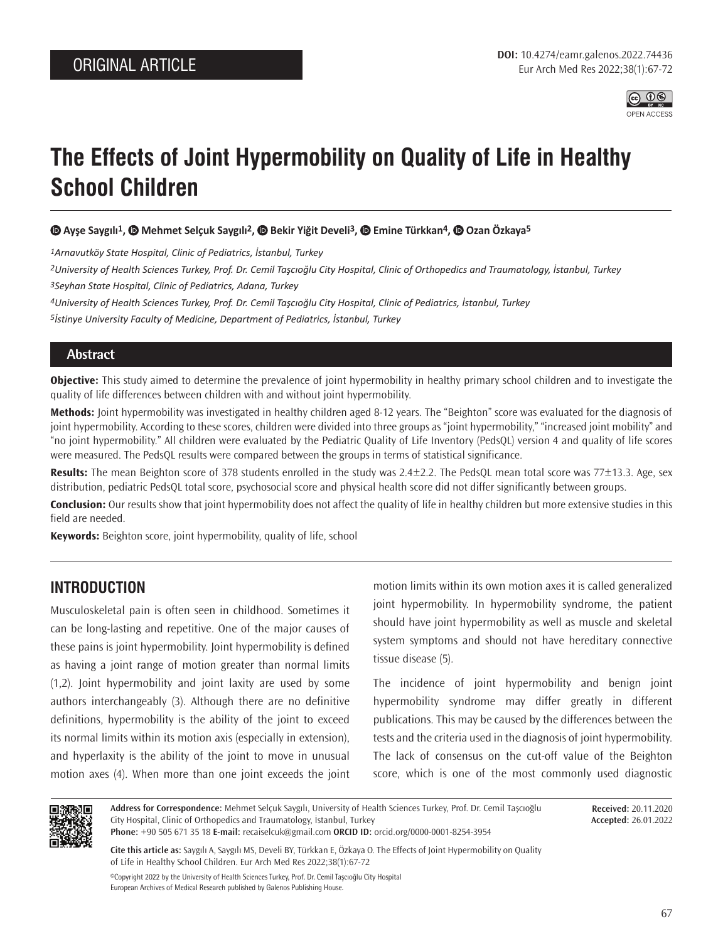

# **The Effects of Joint Hypermobility on Quality of Life in Healthy School Children**

 **Ayşe Saygılı1, Mehmet Selçuk Saygılı2, Bekir Yiğit Develi3, Emine Türkkan4,Ozan Özkaya5**

*1Arnavutköy State Hospital, Clinic of Pediatrics, İstanbul, Turkey*

*2University of Health Sciences Turkey, Prof. Dr. Cemil Taşcıoğlu City Hospital, Clinic of Orthopedics and Traumatology, İstanbul, Turkey 3Seyhan State Hospital, Clinic of Pediatrics, Adana, Turkey*

*4University of Health Sciences Turkey, Prof. Dr. Cemil Taşcıoğlu City Hospital, Clinic of Pediatrics, İstanbul, Turkey 5İstinye University Faculty of Medicine, Department of Pediatrics, İstanbul, Turkey*

#### **Abstract**

**Objective:** This study aimed to determine the prevalence of joint hypermobility in healthy primary school children and to investigate the quality of life differences between children with and without joint hypermobility.

**Methods:** Joint hypermobility was investigated in healthy children aged 8-12 years. The "Beighton" score was evaluated for the diagnosis of joint hypermobility. According to these scores, children were divided into three groups as "joint hypermobility," "increased joint mobility" and "no joint hypermobility." All children were evaluated by the Pediatric Quality of Life Inventory (PedsQL) version 4 and quality of life scores were measured. The PedsQL results were compared between the groups in terms of statistical significance.

**Results:** The mean Beighton score of 378 students enrolled in the study was 2.4±2.2. The PedsQL mean total score was 77±13.3. Age, sex distribution, pediatric PedsQL total score, psychosocial score and physical health score did not differ significantly between groups.

**Conclusion:** Our results show that joint hypermobility does not affect the quality of life in healthy children but more extensive studies in this field are needed.

**Keywords:** Beighton score, joint hypermobility, quality of life, school

# **INTRODUCTION**

Musculoskeletal pain is often seen in childhood. Sometimes it can be long-lasting and repetitive. One of the major causes of these pains is joint hypermobility. Joint hypermobility is defined as having a joint range of motion greater than normal limits (1,2). Joint hypermobility and joint laxity are used by some authors interchangeably (3). Although there are no definitive definitions, hypermobility is the ability of the joint to exceed its normal limits within its motion axis (especially in extension), and hyperlaxity is the ability of the joint to move in unusual motion axes (4). When more than one joint exceeds the joint

motion limits within its own motion axes it is called generalized joint hypermobility. In hypermobility syndrome, the patient should have joint hypermobility as well as muscle and skeletal system symptoms and should not have hereditary connective tissue disease (5).

The incidence of joint hypermobility and benign joint hypermobility syndrome may differ greatly in different publications. This may be caused by the differences between the tests and the criteria used in the diagnosis of joint hypermobility. The lack of consensus on the cut-off value of the Beighton score, which is one of the most commonly used diagnostic



**Address for Correspondence:** Mehmet Selçuk Saygılı, University of Health Sciences Turkey, Prof. Dr. Cemil Taşcıoğlu City Hospital, Clinic of Orthopedics and Traumatology, İstanbul, Turkey **Phone:** +90 505 671 35 18 **E-mail:** recaiselcuk@gmail.com **ORCID ID:** orcid.org/0000-0001-8254-3954

**Received:** 20.11.2020 **Accepted:** 26.01.2022

**Cite this article as:** Saygılı A, Saygılı MS, Develi BY, Türkkan E, Özkaya O. The Effects of Joint Hypermobility on Quality of Life in Healthy School Children. Eur Arch Med Res 2022;38(1):67-72

©Copyright 2022 by the University of Health Sciences Turkey, Prof. Dr. Cemil Taşcıoğlu City Hospital European Archives of Medical Research published by Galenos Publishing House.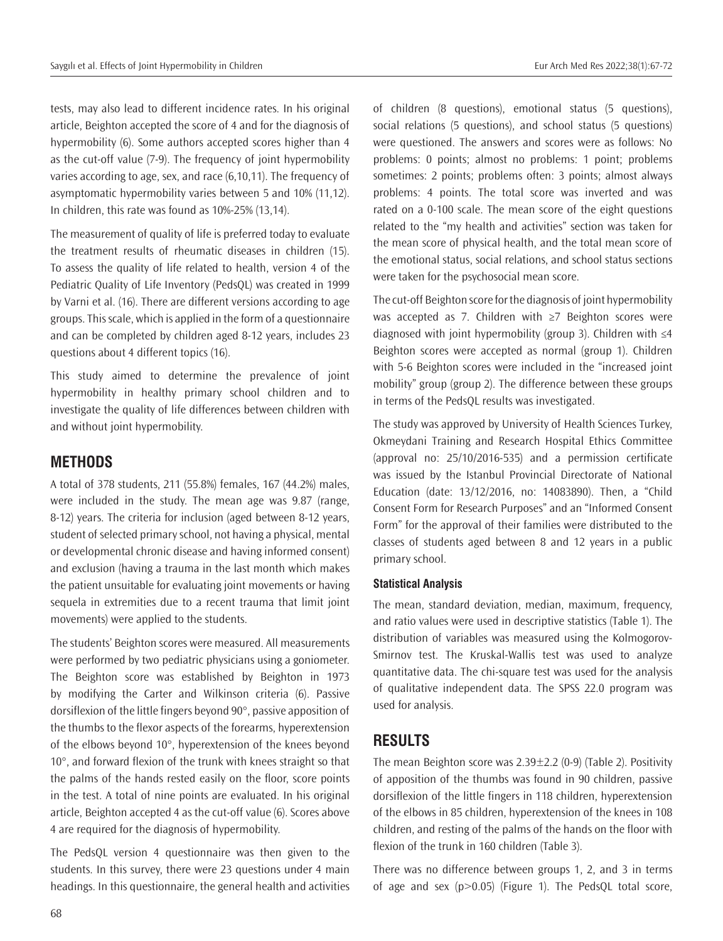tests, may also lead to different incidence rates. In his original article, Beighton accepted the score of 4 and for the diagnosis of hypermobility (6). Some authors accepted scores higher than 4 as the cut-off value (7-9). The frequency of joint hypermobility varies according to age, sex, and race (6,10,11). The frequency of asymptomatic hypermobility varies between 5 and 10% (11,12). In children, this rate was found as 10%-25% (13,14).

The measurement of quality of life is preferred today to evaluate the treatment results of rheumatic diseases in children (15). To assess the quality of life related to health, version 4 of the Pediatric Quality of Life Inventory (PedsQL) was created in 1999 by Varni et al. (16). There are different versions according to age groups. This scale, which is applied in the form of a questionnaire and can be completed by children aged 8-12 years, includes 23 questions about 4 different topics (16).

This study aimed to determine the prevalence of joint hypermobility in healthy primary school children and to investigate the quality of life differences between children with and without joint hypermobility.

# **METHODS**

A total of 378 students, 211 (55.8%) females, 167 (44.2%) males, were included in the study. The mean age was 9.87 (range, 8-12) years. The criteria for inclusion (aged between 8-12 years, student of selected primary school, not having a physical, mental or developmental chronic disease and having informed consent) and exclusion (having a trauma in the last month which makes the patient unsuitable for evaluating joint movements or having sequela in extremities due to a recent trauma that limit joint movements) were applied to the students.

The students' Beighton scores were measured. All measurements were performed by two pediatric physicians using a goniometer. The Beighton score was established by Beighton in 1973 by modifying the Carter and Wilkinson criteria (6). Passive dorsiflexion of the little fingers beyond 90°, passive apposition of the thumbs to the flexor aspects of the forearms, hyperextension of the elbows beyond 10°, hyperextension of the knees beyond 10°, and forward flexion of the trunk with knees straight so that the palms of the hands rested easily on the floor, score points in the test. A total of nine points are evaluated. In his original article, Beighton accepted 4 as the cut-off value (6). Scores above 4 are required for the diagnosis of hypermobility.

The PedsQL version 4 questionnaire was then given to the students. In this survey, there were 23 questions under 4 main headings. In this questionnaire, the general health and activities

of children (8 questions), emotional status (5 questions), social relations (5 questions), and school status (5 questions) were questioned. The answers and scores were as follows: No problems: 0 points; almost no problems: 1 point; problems sometimes: 2 points; problems often: 3 points; almost always problems: 4 points. The total score was inverted and was rated on a 0-100 scale. The mean score of the eight questions related to the "my health and activities" section was taken for the mean score of physical health, and the total mean score of the emotional status, social relations, and school status sections were taken for the psychosocial mean score.

The cut-off Beighton score for the diagnosis of joint hypermobility was accepted as 7. Children with ≥7 Beighton scores were diagnosed with joint hypermobility (group 3). Children with ≤4 Beighton scores were accepted as normal (group 1). Children with 5-6 Beighton scores were included in the "increased joint mobility" group (group 2). The difference between these groups in terms of the PedsQL results was investigated.

The study was approved by University of Health Sciences Turkey, Okmeydani Training and Research Hospital Ethics Committee (approval no: 25/10/2016-535) and a permission certificate was issued by the Istanbul Provincial Directorate of National Education (date: 13/12/2016, no: 14083890). Then, a "Child Consent Form for Research Purposes" and an "Informed Consent Form" for the approval of their families were distributed to the classes of students aged between 8 and 12 years in a public primary school.

#### **Statistical Analysis**

The mean, standard deviation, median, maximum, frequency, and ratio values were used in descriptive statistics (Table 1). The distribution of variables was measured using the Kolmogorov-Smirnov test. The Kruskal-Wallis test was used to analyze quantitative data. The chi-square test was used for the analysis of qualitative independent data. The SPSS 22.0 program was used for analysis.

## **RESULTS**

The mean Beighton score was 2.39±2.2 (0-9) (Table 2). Positivity of apposition of the thumbs was found in 90 children, passive dorsiflexion of the little fingers in 118 children, hyperextension of the elbows in 85 children, hyperextension of the knees in 108 children, and resting of the palms of the hands on the floor with flexion of the trunk in 160 children (Table 3).

There was no difference between groups 1, 2, and 3 in terms of age and sex (p>0.05) (Figure 1). The PedsQL total score,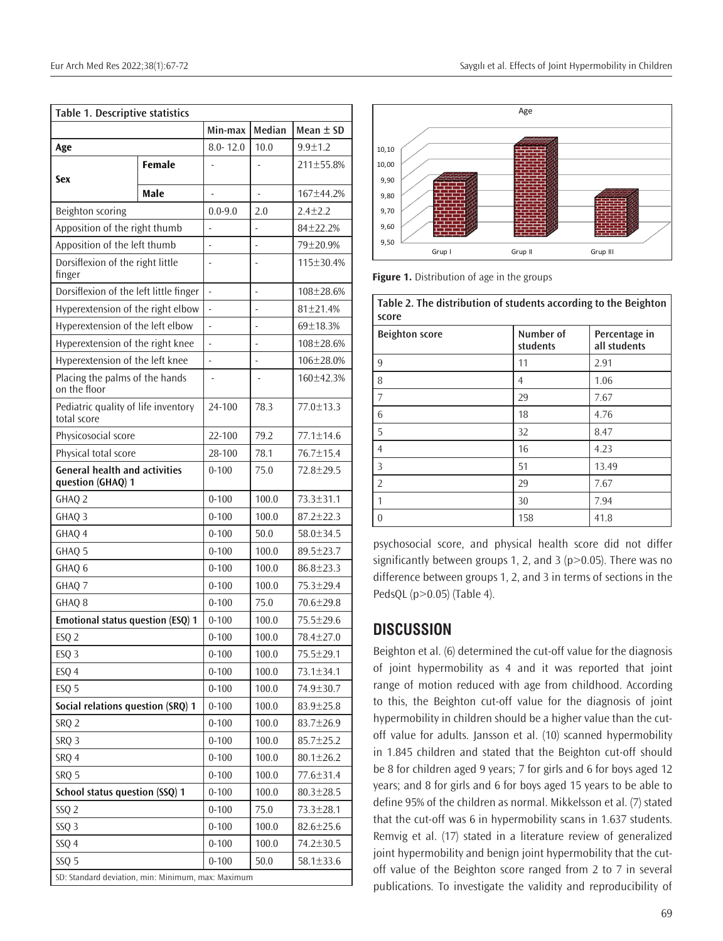| Table 1. Descriptive statistics                           |               |                          |                |                 |  |  |
|-----------------------------------------------------------|---------------|--------------------------|----------------|-----------------|--|--|
|                                                           |               | Median<br>Min-max        |                | Mean $\pm$ SD   |  |  |
| Age                                                       |               | $8.0 - 12.0$             | 10.0           | $9.9 + 1.2$     |  |  |
| Sex                                                       | <b>Female</b> |                          |                | 211±55.8%       |  |  |
|                                                           | Male          |                          | $\overline{a}$ | 167±44.2%       |  |  |
| Beighton scoring                                          |               | $0.0 - 9.0$              | 2.0            | $2.4 \pm 2.2$   |  |  |
| Apposition of the right thumb                             |               |                          |                | $84 + 22.2%$    |  |  |
| Apposition of the left thumb                              |               |                          |                | 79±20.9%        |  |  |
| Dorsiflexion of the right little<br>finger                |               |                          |                | 115±30.4%       |  |  |
| Dorsiflexion of the left little finger                    |               | $\overline{\phantom{a}}$ | ÷,             | 108±28.6%       |  |  |
| Hyperextension of the right elbow                         |               |                          |                | 81±21.4%        |  |  |
| Hyperextension of the left elbow                          |               |                          |                | 69±18.3%        |  |  |
| Hyperextension of the right knee                          |               |                          |                | 108±28.6%       |  |  |
| Hyperextension of the left knee                           |               |                          |                | 106±28.0%       |  |  |
| Placing the palms of the hands<br>on the floor            |               |                          |                | 160±42.3%       |  |  |
| Pediatric quality of life inventory<br>total score        |               | 24-100                   | 78.3           | 77.0±13.3       |  |  |
| Physicosocial score                                       |               | 22-100                   | 79.2           | 77.1±14.6       |  |  |
| Physical total score                                      |               | 28-100                   | 78.1           | 76.7±15.4       |  |  |
| <b>General health and activities</b><br>question (GHAQ) 1 |               | $0 - 100$                | 75.0           | $72.8 \pm 29.5$ |  |  |
| GHAQ 2                                                    |               | $0 - 100$                | 100.0          | 73.3±31.1       |  |  |
| GHAQ 3                                                    |               | $0 - 100$                | 100.0          | $87.2 \pm 22.3$ |  |  |
| GHAQ 4                                                    |               | $0 - 100$                | 50.0           | 58.0±34.5       |  |  |
| GHAQ 5                                                    |               | $0 - 100$                | 100.0          | 89.5±23.7       |  |  |
| GHAQ 6                                                    |               | $0 - 100$                | 100.0          | $86.8 \pm 23.3$ |  |  |
| GHAQ 7                                                    |               | $0 - 100$                | 100.0          | 75.3±29.4       |  |  |
| GHAQ <sub>8</sub>                                         |               | $0 - 100$                | 75.0           | 70.6±29.8       |  |  |
| Emotional status question (ESQ) 1                         |               | $0 - 100$                | 100.0          | 75.5±29.6       |  |  |
| ESQ <sub>2</sub>                                          |               | $0 - 100$                | 100.0          | 78.4±27.0       |  |  |
| ESQ <sub>3</sub>                                          |               | $0 - 100$                | 100.0          | 75.5±29.1       |  |  |
| ESQ 4                                                     |               | $0 - 100$                | 100.0          | 73.1±34.1       |  |  |
| ESQ <sub>5</sub>                                          |               | $0 - 100$                | 100.0          | 74.9±30.7       |  |  |
| Social relations question (SRQ) 1                         |               | $0 - 100$                | 100.0          | 83.9±25.8       |  |  |
| <b>SRO 2</b>                                              |               | $0 - 100$                | 100.0          | 83.7±26.9       |  |  |
| SRQ <sub>3</sub>                                          |               | $0 - 100$                | 100.0          | 85.7±25.2       |  |  |
| SRQ 4                                                     |               | $0 - 100$                | 100.0          | $80.1 \pm 26.2$ |  |  |
| SRQ 5                                                     | $0 - 100$     | 100.0                    | 77.6±31.4      |                 |  |  |
| School status question (SSQ) 1                            |               | $0 - 100$                | 100.0          | 80.3±28.5       |  |  |
| SSQ <sub>2</sub>                                          |               | $0 - 100$                | 75.0           | 73.3±28.1       |  |  |
| SSQ <sub>3</sub>                                          |               |                          |                | $82.6 \pm 25.6$ |  |  |
| SSQ 4                                                     | $0 - 100$     | 100.0                    | 74.2±30.5      |                 |  |  |
| SSQ 5                                                     |               |                          |                | 58.1±33.6       |  |  |
| SD: Standard deviation, min: Minimum, max: Maximum        |               |                          |                |                 |  |  |



**Figure 1.** Distribution of age in the groups

| Table 2. The distribution of students according to the Beighton<br>score |                       |                               |  |  |  |
|--------------------------------------------------------------------------|-----------------------|-------------------------------|--|--|--|
| <b>Beighton score</b>                                                    | Number of<br>students | Percentage in<br>all students |  |  |  |
| 9                                                                        | 11                    | 2.91                          |  |  |  |
| 8                                                                        | 4                     | 1.06                          |  |  |  |
| 7                                                                        | 29                    | 7.67                          |  |  |  |
| 6                                                                        | 18                    | 4.76                          |  |  |  |
| 5                                                                        | 32                    | 8.47                          |  |  |  |
| 4                                                                        | 16                    | 4.23                          |  |  |  |
| 3                                                                        | 51                    | 13.49                         |  |  |  |
| $\overline{2}$                                                           | 29                    | 7.67                          |  |  |  |
| 1                                                                        | 30                    | 7.94                          |  |  |  |
| $\Omega$                                                                 | 158                   | 41.8                          |  |  |  |

psychosocial score, and physical health score did not differ significantly between groups 1, 2, and 3 (p>0.05). There was no difference between groups 1, 2, and 3 in terms of sections in the PedsQL (p>0.05) (Table 4).

## **DISCUSSION**

Beighton et al. (6) determined the cut-off value for the diagnosis of joint hypermobility as 4 and it was reported that joint range of motion reduced with age from childhood. According to this, the Beighton cut-off value for the diagnosis of joint hypermobility in children should be a higher value than the cutoff value for adults. Jansson et al. (10) scanned hypermobility in 1.845 children and stated that the Beighton cut-off should be 8 for children aged 9 years; 7 for girls and 6 for boys aged 12 years; and 8 for girls and 6 for boys aged 15 years to be able to define 95% of the children as normal. Mikkelsson et al. (7) stated that the cut-off was 6 in hypermobility scans in 1.637 students. Remvig et al. (17) stated in a literature review of generalized joint hypermobility and benign joint hypermobility that the cutoff value of the Beighton score ranged from 2 to 7 in several publications. To investigate the validity and reproducibility of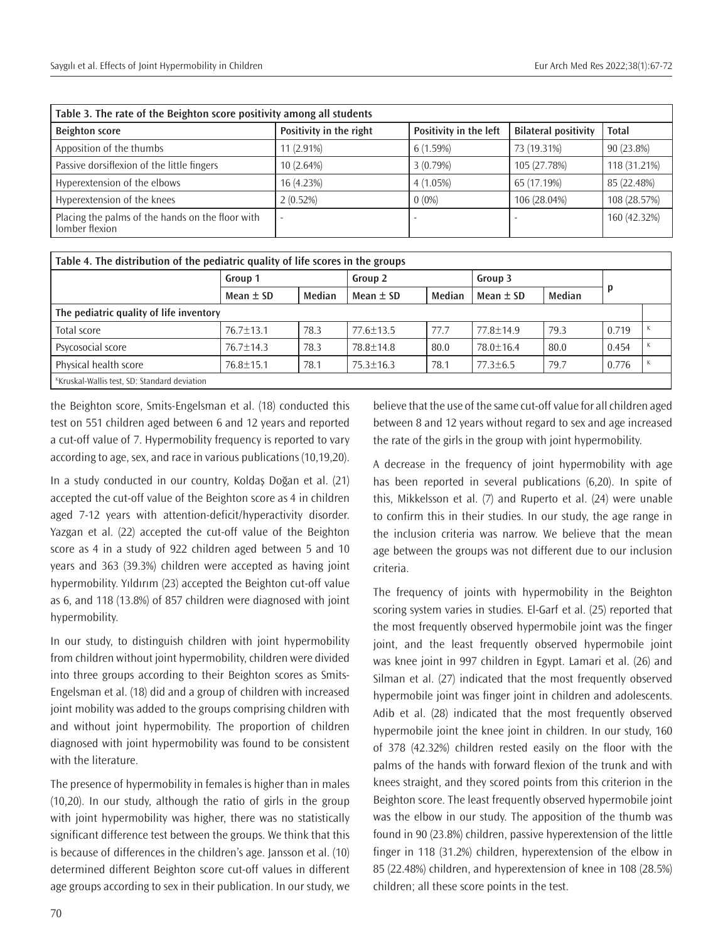| Table 3. The rate of the Beighton score positivity among all students |                         |                        |                             |              |  |  |
|-----------------------------------------------------------------------|-------------------------|------------------------|-----------------------------|--------------|--|--|
| <b>Beighton score</b>                                                 | Positivity in the right | Positivity in the left | <b>Bilateral positivity</b> | Total        |  |  |
| Apposition of the thumbs                                              | $11(2.91\%)$            | 6(1.59%)               | 73 (19.31%)                 | 90 (23.8%)   |  |  |
| Passive dorsiflexion of the little fingers                            | 10(2.64%)               | 3(0.79%)               | 105 (27.78%)                | 118 (31.21%) |  |  |
| Hyperextension of the elbows                                          | 16 (4.23%)              | 4(1.05%)               | 65 (17.19%)                 | 85 (22.48%)  |  |  |
| Hyperextension of the knees                                           | 2(0.52%)                | $0(0\%)$               | 106 (28.04%)                | 108 (28.57%) |  |  |
| Placing the palms of the hands on the floor with<br>lomber flexion    |                         |                        |                             | 160 (42.32%) |  |  |

| Table 4. The distribution of the pediatric quality of life scores in the groups |                 |        |                 |        |                |        |       |  |
|---------------------------------------------------------------------------------|-----------------|--------|-----------------|--------|----------------|--------|-------|--|
|                                                                                 | Group 1         |        | Group 2         |        | Group 3        |        |       |  |
|                                                                                 | Mean $\pm$ SD   | Median | Mean $\pm$ SD   | Median | Mean $\pm$ SD  | Median |       |  |
| The pediatric quality of life inventory                                         |                 |        |                 |        |                |        |       |  |
| Total score                                                                     | $76.7 + 13.1$   | 78.3   | $77.6 + 13.5$   | 77.7   | $77.8 + 14.9$  | 79.3   | 0.719 |  |
| Psycosocial score                                                               | $76.7 + 14.3$   | 78.3   | $78.8 + 14.8$   | 80.0   | $78.0 + 16.4$  | 80.0   | 0.454 |  |
| Physical health score                                                           | $76.8 \pm 15.1$ | 78.1   | $75.3 \pm 16.3$ | 78.1   | $77.3 \pm 6.5$ | 79.7   | 0.776 |  |
| Kruskal-Wallis test, SD: Standard deviation                                     |                 |        |                 |        |                |        |       |  |

the Beighton score, Smits-Engelsman et al. (18) conducted this test on 551 children aged between 6 and 12 years and reported a cut-off value of 7. Hypermobility frequency is reported to vary according to age, sex, and race in various publications (10,19,20).

In a study conducted in our country, Koldaş Doğan et al. (21) accepted the cut-off value of the Beighton score as 4 in children aged 7-12 years with attention-deficit/hyperactivity disorder. Yazgan et al. (22) accepted the cut-off value of the Beighton score as 4 in a study of 922 children aged between 5 and 10 years and 363 (39.3%) children were accepted as having joint hypermobility. Yıldırım (23) accepted the Beighton cut-off value as 6, and 118 (13.8%) of 857 children were diagnosed with joint hypermobility.

In our study, to distinguish children with joint hypermobility from children without joint hypermobility, children were divided into three groups according to their Beighton scores as Smits-Engelsman et al. (18) did and a group of children with increased joint mobility was added to the groups comprising children with and without joint hypermobility. The proportion of children diagnosed with joint hypermobility was found to be consistent with the literature.

The presence of hypermobility in females is higher than in males (10,20). In our study, although the ratio of girls in the group with joint hypermobility was higher, there was no statistically significant difference test between the groups. We think that this is because of differences in the children's age. Jansson et al. (10) determined different Beighton score cut-off values in different age groups according to sex in their publication. In our study, we believe that the use of the same cut-off value for all children aged between 8 and 12 years without regard to sex and age increased the rate of the girls in the group with joint hypermobility.

A decrease in the frequency of joint hypermobility with age has been reported in several publications (6,20). In spite of this, Mikkelsson et al. (7) and Ruperto et al. (24) were unable to confirm this in their studies. In our study, the age range in the inclusion criteria was narrow. We believe that the mean age between the groups was not different due to our inclusion criteria.

The frequency of joints with hypermobility in the Beighton scoring system varies in studies. El-Garf et al. (25) reported that the most frequently observed hypermobile joint was the finger joint, and the least frequently observed hypermobile joint was knee joint in 997 children in Egypt. Lamari et al. (26) and Silman et al. (27) indicated that the most frequently observed hypermobile joint was finger joint in children and adolescents. Adib et al. (28) indicated that the most frequently observed hypermobile joint the knee joint in children. In our study, 160 of 378 (42.32%) children rested easily on the floor with the palms of the hands with forward flexion of the trunk and with knees straight, and they scored points from this criterion in the Beighton score. The least frequently observed hypermobile joint was the elbow in our study. The apposition of the thumb was found in 90 (23.8%) children, passive hyperextension of the little finger in 118 (31.2%) children, hyperextension of the elbow in 85 (22.48%) children, and hyperextension of knee in 108 (28.5%) children; all these score points in the test.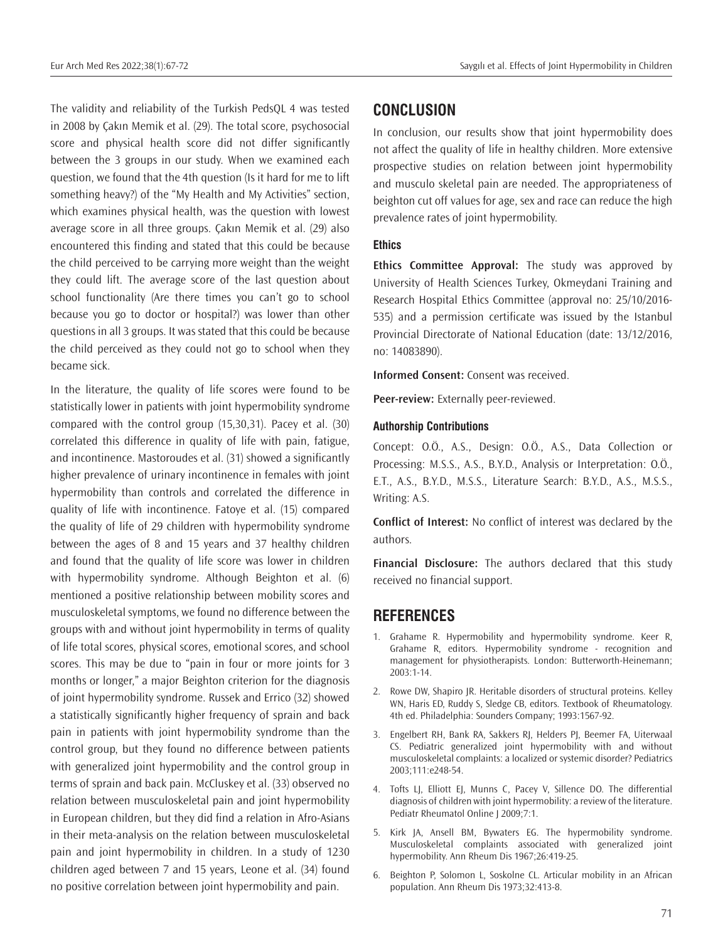The validity and reliability of the Turkish PedsQL 4 was tested in 2008 by Çakın Memik et al. (29). The total score, psychosocial score and physical health score did not differ significantly between the 3 groups in our study. When we examined each question, we found that the 4th question (Is it hard for me to lift something heavy?) of the "My Health and My Activities" section, which examines physical health, was the question with lowest average score in all three groups. Çakın Memik et al. (29) also encountered this finding and stated that this could be because the child perceived to be carrying more weight than the weight they could lift. The average score of the last question about school functionality (Are there times you can't go to school because you go to doctor or hospital?) was lower than other questions in all 3 groups. It was stated that this could be because the child perceived as they could not go to school when they became sick.

In the literature, the quality of life scores were found to be statistically lower in patients with joint hypermobility syndrome compared with the control group (15,30,31). Pacey et al. (30) correlated this difference in quality of life with pain, fatigue, and incontinence. Mastoroudes et al. (31) showed a significantly higher prevalence of urinary incontinence in females with joint hypermobility than controls and correlated the difference in quality of life with incontinence. Fatoye et al. (15) compared the quality of life of 29 children with hypermobility syndrome between the ages of 8 and 15 years and 37 healthy children and found that the quality of life score was lower in children with hypermobility syndrome. Although Beighton et al. (6) mentioned a positive relationship between mobility scores and musculoskeletal symptoms, we found no difference between the groups with and without joint hypermobility in terms of quality of life total scores, physical scores, emotional scores, and school scores. This may be due to "pain in four or more joints for 3 months or longer," a major Beighton criterion for the diagnosis of joint hypermobility syndrome. Russek and Errico (32) showed a statistically significantly higher frequency of sprain and back pain in patients with joint hypermobility syndrome than the control group, but they found no difference between patients with generalized joint hypermobility and the control group in terms of sprain and back pain. McCluskey et al. (33) observed no relation between musculoskeletal pain and joint hypermobility in European children, but they did find a relation in Afro-Asians in their meta-analysis on the relation between musculoskeletal pain and joint hypermobility in children. In a study of 1230 children aged between 7 and 15 years, Leone et al. (34) found no positive correlation between joint hypermobility and pain.

#### **CONCLUSION**

In conclusion, our results show that joint hypermobility does not affect the quality of life in healthy children. More extensive prospective studies on relation between joint hypermobility and musculo skeletal pain are needed. The appropriateness of beighton cut off values for age, sex and race can reduce the high prevalence rates of joint hypermobility.

#### **Ethics**

**Ethics Committee Approval:** The study was approved by University of Health Sciences Turkey, Okmeydani Training and Research Hospital Ethics Committee (approval no: 25/10/2016- 535) and a permission certificate was issued by the Istanbul Provincial Directorate of National Education (date: 13/12/2016, no: 14083890).

**Informed Consent:** Consent was received.

**Peer-review:** Externally peer-reviewed.

#### **Authorship Contributions**

Concept: O.Ö., A.S., Design: O.Ö., A.S., Data Collection or Processing: M.S.S., A.S., B.Y.D., Analysis or Interpretation: O.Ö., E.T., A.S., B.Y.D., M.S.S., Literature Search: B.Y.D., A.S., M.S.S., Writing: A.S.

**Conflict of Interest:** No conflict of interest was declared by the authors.

**Financial Disclosure:** The authors declared that this study received no financial support.

### **REFERENCES**

- 1. Grahame R. Hypermobility and hypermobility syndrome. Keer R, Grahame R, editors. Hypermobility syndrome - recognition and management for physiotherapists. London: Butterworth-Heinemann; 2003:1-14.
- 2. Rowe DW, Shapiro JR. Heritable disorders of structural proteins. Kelley WN, Haris ED, Ruddy S, Sledge CB, editors. Textbook of Rheumatology. 4th ed. Philadelphia: Sounders Company; 1993:1567-92.
- 3. Engelbert RH, Bank RA, Sakkers RJ, Helders PJ, Beemer FA, Uiterwaal CS. Pediatric generalized joint hypermobility with and without musculoskeletal complaints: a localized or systemic disorder? Pediatrics 2003;111:e248-54.
- 4. Tofts LJ, Elliott EJ, Munns C, Pacey V, Sillence DO. The differential diagnosis of children with joint hypermobility: a review of the literature. Pediatr Rheumatol Online | 2009;7:1.
- 5. Kirk JA, Ansell BM, Bywaters EG. The hypermobility syndrome. Musculoskeletal complaints associated with generalized joint hypermobility. Ann Rheum Dis 1967;26:419-25.
- 6. Beighton P, Solomon L, Soskolne CL. Articular mobility in an African population. Ann Rheum Dis 1973;32:413-8.